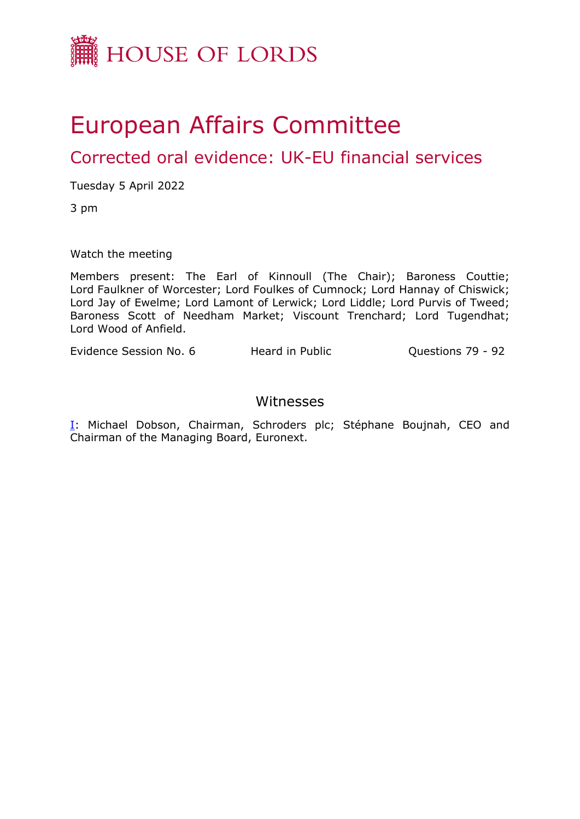

# European Affairs Committee

Corrected oral evidence: UK-EU financial services

Tuesday 5 April 2022

3 pm

Watch the meeting

Members present: The Earl of Kinnoull (The Chair); Baroness Couttie; Lord Faulkner of Worcester; Lord Foulkes of Cumnock; Lord Hannay of Chiswick; Lord Jay of Ewelme; Lord Lamont of Lerwick; Lord Liddle; Lord Purvis of Tweed; Baroness Scott of Needham Market; Viscount Trenchard; Lord Tugendhat; Lord Wood of Anfield.

Evidence Session No. 6 Heard in Public Cuestions 79 - 92

## Witnesses

[I:](#page-1-0) Michael Dobson, Chairman, Schroders plc; Stéphane Boujnah, CEO and Chairman of the Managing Board, Euronext.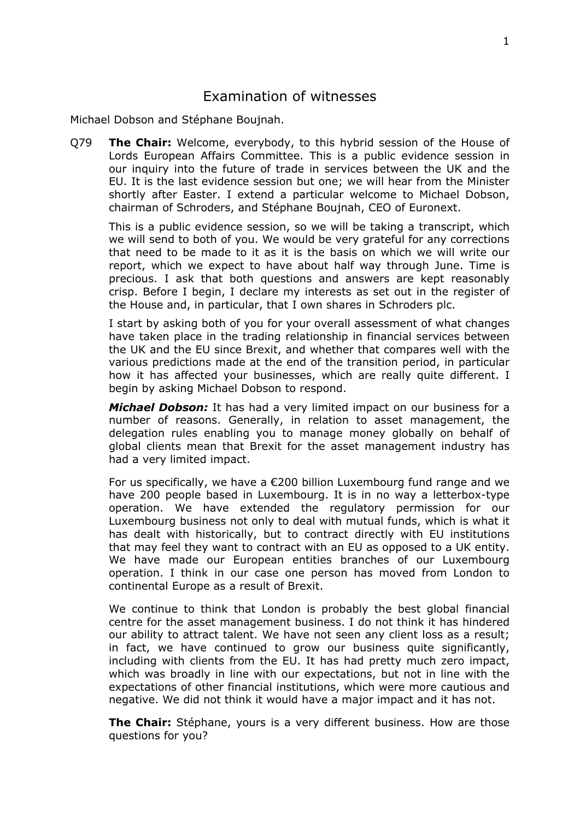## <span id="page-1-0"></span>Examination of witnesses

Michael Dobson and Stéphane Boujnah.

Q79 **The Chair:** Welcome, everybody, to this hybrid session of the House of Lords European Affairs Committee. This is a public evidence session in our inquiry into the future of trade in services between the UK and the EU. It is the last evidence session but one; we will hear from the Minister shortly after Easter. I extend a particular welcome to Michael Dobson, chairman of Schroders, and Stéphane Boujnah, CEO of Euronext.

This is a public evidence session, so we will be taking a transcript, which we will send to both of you. We would be very grateful for any corrections that need to be made to it as it is the basis on which we will write our report, which we expect to have about half way through June. Time is precious. I ask that both questions and answers are kept reasonably crisp. Before I begin, I declare my interests as set out in the register of the House and, in particular, that I own shares in Schroders plc.

I start by asking both of you for your overall assessment of what changes have taken place in the trading relationship in financial services between the UK and the EU since Brexit, and whether that compares well with the various predictions made at the end of the transition period, in particular how it has affected your businesses, which are really quite different. I begin by asking Michael Dobson to respond.

*Michael Dobson:* It has had a very limited impact on our business for a number of reasons. Generally, in relation to asset management, the delegation rules enabling you to manage money globally on behalf of global clients mean that Brexit for the asset management industry has had a very limited impact.

For us specifically, we have a €200 billion Luxembourg fund range and we have 200 people based in Luxembourg. It is in no way a letterbox-type operation. We have extended the regulatory permission for our Luxembourg business not only to deal with mutual funds, which is what it has dealt with historically, but to contract directly with EU institutions that may feel they want to contract with an EU as opposed to a UK entity. We have made our European entities branches of our Luxembourg operation. I think in our case one person has moved from London to continental Europe as a result of Brexit.

We continue to think that London is probably the best global financial centre for the asset management business. I do not think it has hindered our ability to attract talent. We have not seen any client loss as a result; in fact, we have continued to grow our business quite significantly, including with clients from the EU. It has had pretty much zero impact, which was broadly in line with our expectations, but not in line with the expectations of other financial institutions, which were more cautious and negative. We did not think it would have a major impact and it has not.

**The Chair:** Stéphane, yours is a very different business. How are those questions for you?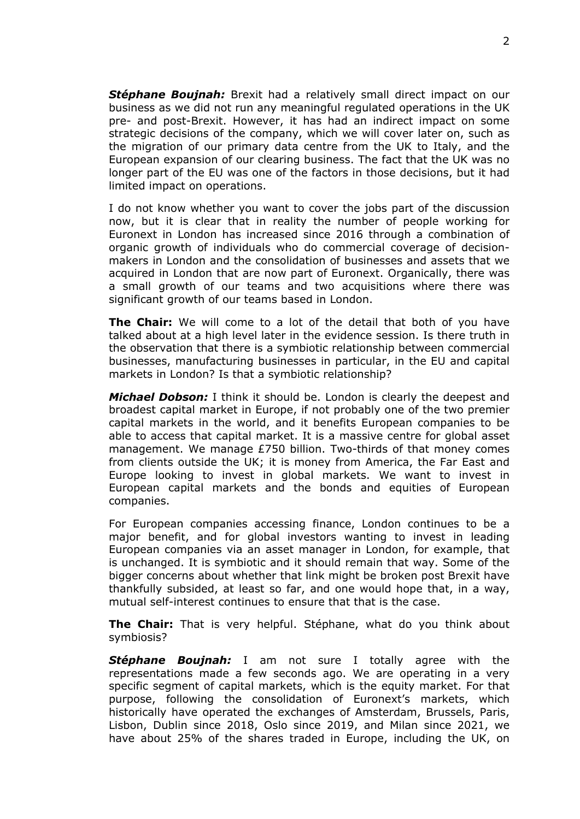*Stéphane Boujnah:* Brexit had a relatively small direct impact on our business as we did not run any meaningful regulated operations in the UK pre- and post-Brexit. However, it has had an indirect impact on some strategic decisions of the company, which we will cover later on, such as the migration of our primary data centre from the UK to Italy, and the European expansion of our clearing business. The fact that the UK was no longer part of the EU was one of the factors in those decisions, but it had limited impact on operations.

I do not know whether you want to cover the jobs part of the discussion now, but it is clear that in reality the number of people working for Euronext in London has increased since 2016 through a combination of organic growth of individuals who do commercial coverage of decisionmakers in London and the consolidation of businesses and assets that we acquired in London that are now part of Euronext. Organically, there was a small growth of our teams and two acquisitions where there was significant growth of our teams based in London.

**The Chair:** We will come to a lot of the detail that both of you have talked about at a high level later in the evidence session. Is there truth in the observation that there is a symbiotic relationship between commercial businesses, manufacturing businesses in particular, in the EU and capital markets in London? Is that a symbiotic relationship?

*Michael Dobson:* I think it should be. London is clearly the deepest and broadest capital market in Europe, if not probably one of the two premier capital markets in the world, and it benefits European companies to be able to access that capital market. It is a massive centre for global asset management. We manage £750 billion. Two-thirds of that money comes from clients outside the UK; it is money from America, the Far East and Europe looking to invest in global markets. We want to invest in European capital markets and the bonds and equities of European companies.

For European companies accessing finance, London continues to be a major benefit, and for global investors wanting to invest in leading European companies via an asset manager in London, for example, that is unchanged. It is symbiotic and it should remain that way. Some of the bigger concerns about whether that link might be broken post Brexit have thankfully subsided, at least so far, and one would hope that, in a way, mutual self-interest continues to ensure that that is the case.

**The Chair:** That is very helpful. Stéphane, what do you think about symbiosis?

*Stéphane Boujnah:* I am not sure I totally agree with the representations made a few seconds ago. We are operating in a very specific segment of capital markets, which is the equity market. For that purpose, following the consolidation of Euronext's markets, which historically have operated the exchanges of Amsterdam, Brussels, Paris, Lisbon, Dublin since 2018, Oslo since 2019, and Milan since 2021, we have about 25% of the shares traded in Europe, including the UK, on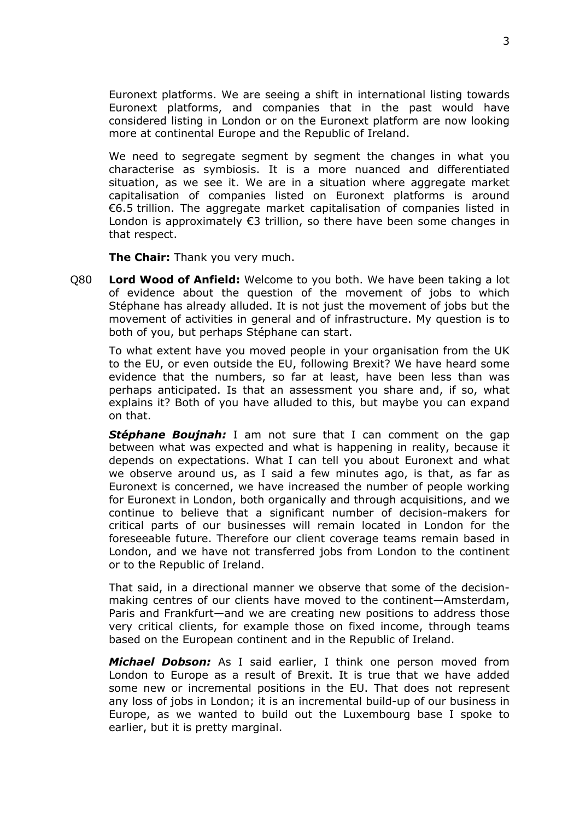Euronext platforms. We are seeing a shift in international listing towards Euronext platforms, and companies that in the past would have considered listing in London or on the Euronext platform are now looking more at continental Europe and the Republic of Ireland.

We need to segregate segment by segment the changes in what you characterise as symbiosis. It is a more nuanced and differentiated situation, as we see it. We are in a situation where aggregate market capitalisation of companies listed on Euronext platforms is around €6.5 trillion. The aggregate market capitalisation of companies listed in London is approximately  $\epsilon$ 3 trillion, so there have been some changes in that respect.

**The Chair:** Thank you very much.

Q80 **Lord Wood of Anfield:** Welcome to you both. We have been taking a lot of evidence about the question of the movement of jobs to which Stéphane has already alluded. It is not just the movement of jobs but the movement of activities in general and of infrastructure. My question is to both of you, but perhaps Stéphane can start.

To what extent have you moved people in your organisation from the UK to the EU, or even outside the EU, following Brexit? We have heard some evidence that the numbers, so far at least, have been less than was perhaps anticipated. Is that an assessment you share and, if so, what explains it? Both of you have alluded to this, but maybe you can expand on that.

*Stéphane Boujnah:* I am not sure that I can comment on the gap between what was expected and what is happening in reality, because it depends on expectations. What I can tell you about Euronext and what we observe around us, as I said a few minutes ago, is that, as far as Euronext is concerned, we have increased the number of people working for Euronext in London, both organically and through acquisitions, and we continue to believe that a significant number of decision-makers for critical parts of our businesses will remain located in London for the foreseeable future. Therefore our client coverage teams remain based in London, and we have not transferred jobs from London to the continent or to the Republic of Ireland.

That said, in a directional manner we observe that some of the decisionmaking centres of our clients have moved to the continent—Amsterdam, Paris and Frankfurt—and we are creating new positions to address those very critical clients, for example those on fixed income, through teams based on the European continent and in the Republic of Ireland.

*Michael Dobson:* As I said earlier, I think one person moved from London to Europe as a result of Brexit. It is true that we have added some new or incremental positions in the EU. That does not represent any loss of jobs in London; it is an incremental build-up of our business in Europe, as we wanted to build out the Luxembourg base I spoke to earlier, but it is pretty marginal.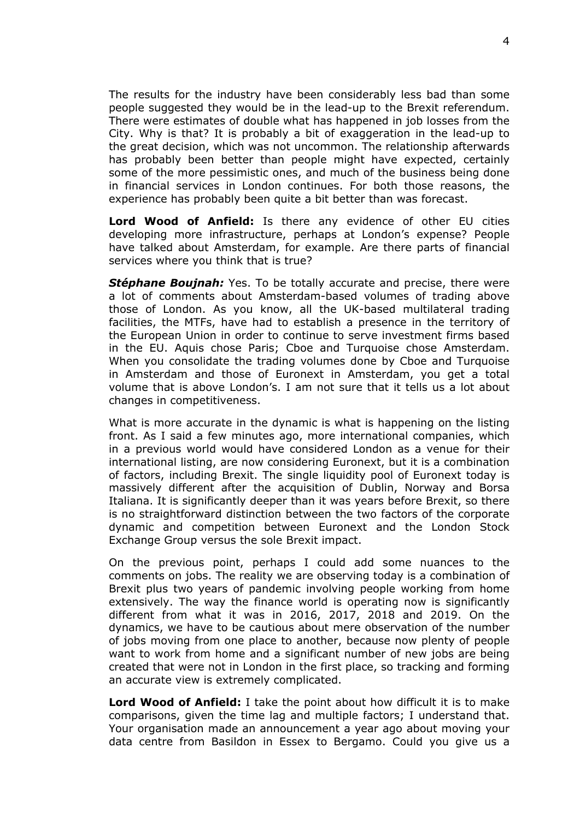The results for the industry have been considerably less bad than some people suggested they would be in the lead-up to the Brexit referendum. There were estimates of double what has happened in job losses from the City. Why is that? It is probably a bit of exaggeration in the lead-up to the great decision, which was not uncommon. The relationship afterwards has probably been better than people might have expected, certainly some of the more pessimistic ones, and much of the business being done in financial services in London continues. For both those reasons, the experience has probably been quite a bit better than was forecast.

**Lord Wood of Anfield:** Is there any evidence of other EU cities developing more infrastructure, perhaps at London's expense? People have talked about Amsterdam, for example. Are there parts of financial services where you think that is true?

*Stéphane Boujnah:* Yes. To be totally accurate and precise, there were a lot of comments about Amsterdam-based volumes of trading above those of London. As you know, all the UK-based multilateral trading facilities, the MTFs, have had to establish a presence in the territory of the European Union in order to continue to serve investment firms based in the EU. Aquis chose Paris; Cboe and Turquoise chose Amsterdam. When you consolidate the trading volumes done by Cboe and Turquoise in Amsterdam and those of Euronext in Amsterdam, you get a total volume that is above London's. I am not sure that it tells us a lot about changes in competitiveness.

What is more accurate in the dynamic is what is happening on the listing front. As I said a few minutes ago, more international companies, which in a previous world would have considered London as a venue for their international listing, are now considering Euronext, but it is a combination of factors, including Brexit. The single liquidity pool of Euronext today is massively different after the acquisition of Dublin, Norway and Borsa Italiana. It is significantly deeper than it was years before Brexit, so there is no straightforward distinction between the two factors of the corporate dynamic and competition between Euronext and the London Stock Exchange Group versus the sole Brexit impact.

On the previous point, perhaps I could add some nuances to the comments on jobs. The reality we are observing today is a combination of Brexit plus two years of pandemic involving people working from home extensively. The way the finance world is operating now is significantly different from what it was in 2016, 2017, 2018 and 2019. On the dynamics, we have to be cautious about mere observation of the number of jobs moving from one place to another, because now plenty of people want to work from home and a significant number of new jobs are being created that were not in London in the first place, so tracking and forming an accurate view is extremely complicated.

**Lord Wood of Anfield:** I take the point about how difficult it is to make comparisons, given the time lag and multiple factors; I understand that. Your organisation made an announcement a year ago about moving your data centre from Basildon in Essex to Bergamo. Could you give us a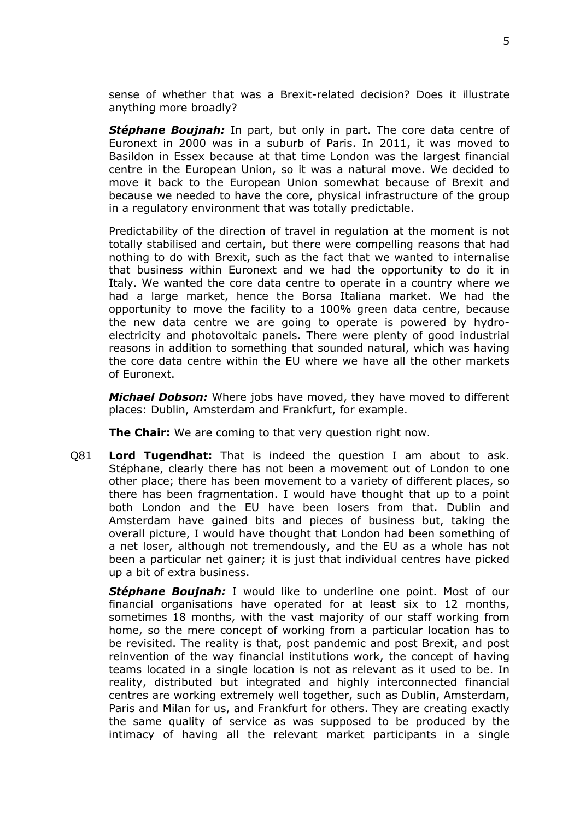sense of whether that was a Brexit-related decision? Does it illustrate anything more broadly?

*Stéphane Boujnah:* In part, but only in part. The core data centre of Euronext in 2000 was in a suburb of Paris. In 2011, it was moved to Basildon in Essex because at that time London was the largest financial centre in the European Union, so it was a natural move. We decided to move it back to the European Union somewhat because of Brexit and because we needed to have the core, physical infrastructure of the group in a regulatory environment that was totally predictable.

Predictability of the direction of travel in regulation at the moment is not totally stabilised and certain, but there were compelling reasons that had nothing to do with Brexit, such as the fact that we wanted to internalise that business within Euronext and we had the opportunity to do it in Italy. We wanted the core data centre to operate in a country where we had a large market, hence the Borsa Italiana market. We had the opportunity to move the facility to a 100% green data centre, because the new data centre we are going to operate is powered by hydroelectricity and photovoltaic panels. There were plenty of good industrial reasons in addition to something that sounded natural, which was having the core data centre within the EU where we have all the other markets of Euronext.

*Michael Dobson:* Where jobs have moved, they have moved to different places: Dublin, Amsterdam and Frankfurt, for example.

**The Chair:** We are coming to that very question right now.

Q81 **Lord Tugendhat:** That is indeed the question I am about to ask. Stéphane, clearly there has not been a movement out of London to one other place; there has been movement to a variety of different places, so there has been fragmentation. I would have thought that up to a point both London and the EU have been losers from that. Dublin and Amsterdam have gained bits and pieces of business but, taking the overall picture, I would have thought that London had been something of a net loser, although not tremendously, and the EU as a whole has not been a particular net gainer; it is just that individual centres have picked up a bit of extra business.

*Stéphane Boujnah:* I would like to underline one point. Most of our financial organisations have operated for at least six to 12 months, sometimes 18 months, with the vast majority of our staff working from home, so the mere concept of working from a particular location has to be revisited. The reality is that, post pandemic and post Brexit, and post reinvention of the way financial institutions work, the concept of having teams located in a single location is not as relevant as it used to be. In reality, distributed but integrated and highly interconnected financial centres are working extremely well together, such as Dublin, Amsterdam, Paris and Milan for us, and Frankfurt for others. They are creating exactly the same quality of service as was supposed to be produced by the intimacy of having all the relevant market participants in a single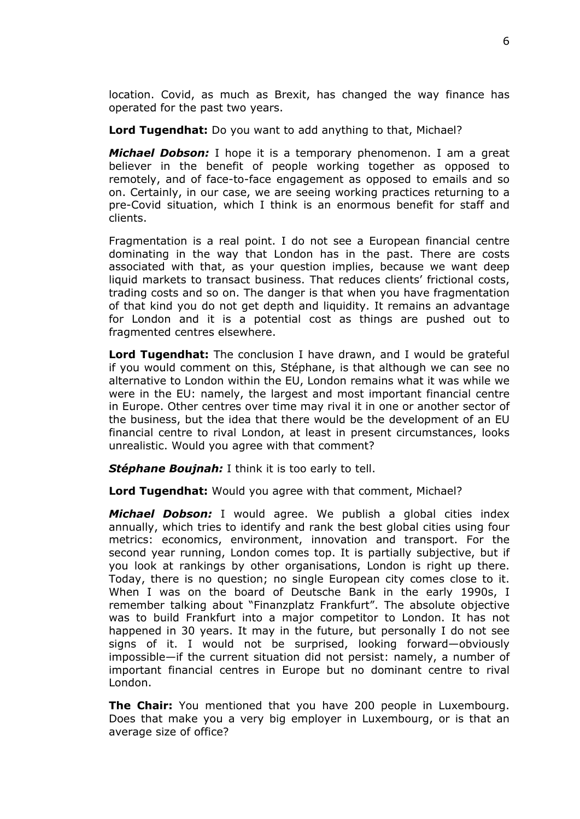location. Covid, as much as Brexit, has changed the way finance has operated for the past two years.

**Lord Tugendhat:** Do you want to add anything to that, Michael?

*Michael Dobson:* I hope it is a temporary phenomenon. I am a great believer in the benefit of people working together as opposed to remotely, and of face-to-face engagement as opposed to emails and so on. Certainly, in our case, we are seeing working practices returning to a pre-Covid situation, which I think is an enormous benefit for staff and clients.

Fragmentation is a real point. I do not see a European financial centre dominating in the way that London has in the past. There are costs associated with that, as your question implies, because we want deep liquid markets to transact business. That reduces clients' frictional costs, trading costs and so on. The danger is that when you have fragmentation of that kind you do not get depth and liquidity. It remains an advantage for London and it is a potential cost as things are pushed out to fragmented centres elsewhere.

**Lord Tugendhat:** The conclusion I have drawn, and I would be grateful if you would comment on this, Stéphane, is that although we can see no alternative to London within the EU, London remains what it was while we were in the EU: namely, the largest and most important financial centre in Europe. Other centres over time may rival it in one or another sector of the business, but the idea that there would be the development of an EU financial centre to rival London, at least in present circumstances, looks unrealistic. Would you agree with that comment?

*Stéphane Boujnah:* I think it is too early to tell.

**Lord Tugendhat:** Would you agree with that comment, Michael?

*Michael Dobson:* I would agree. We publish a global cities index annually, which tries to identify and rank the best global cities using four metrics: economics, environment, innovation and transport. For the second year running, London comes top. It is partially subjective, but if you look at rankings by other organisations, London is right up there. Today, there is no question; no single European city comes close to it. When I was on the board of Deutsche Bank in the early 1990s, I remember talking about "Finanzplatz Frankfurt". The absolute objective was to build Frankfurt into a major competitor to London. It has not happened in 30 years. It may in the future, but personally I do not see signs of it. I would not be surprised, looking forward—obviously impossible—if the current situation did not persist: namely, a number of important financial centres in Europe but no dominant centre to rival London.

**The Chair:** You mentioned that you have 200 people in Luxembourg. Does that make you a very big employer in Luxembourg, or is that an average size of office?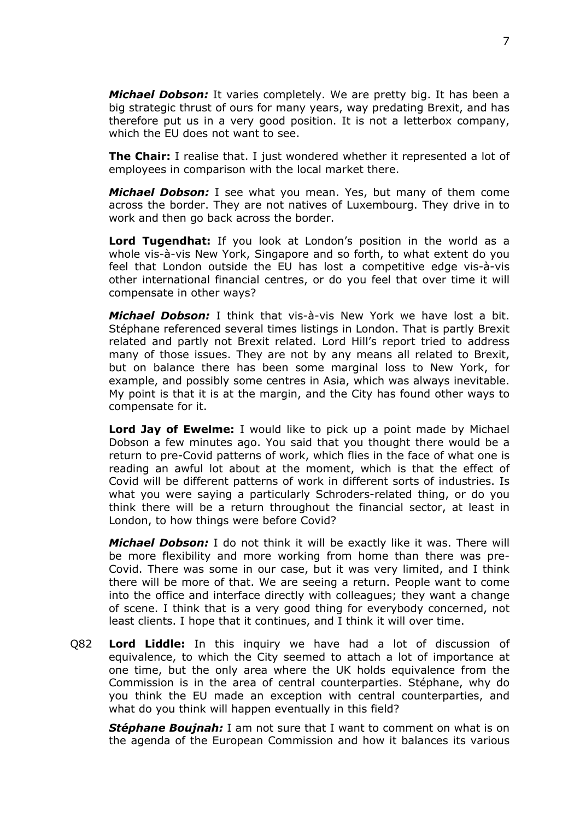*Michael Dobson:* It varies completely. We are pretty big. It has been a big strategic thrust of ours for many years, way predating Brexit, and has therefore put us in a very good position. It is not a letterbox company, which the EU does not want to see.

**The Chair:** I realise that. I just wondered whether it represented a lot of employees in comparison with the local market there.

*Michael Dobson:* I see what you mean. Yes, but many of them come across the border. They are not natives of Luxembourg. They drive in to work and then go back across the border.

**Lord Tugendhat:** If you look at London's position in the world as a whole vis-à-vis New York, Singapore and so forth, to what extent do you feel that London outside the EU has lost a competitive edge vis-à-vis other international financial centres, or do you feel that over time it will compensate in other ways?

*Michael Dobson:* I think that vis-à-vis New York we have lost a bit. Stéphane referenced several times listings in London. That is partly Brexit related and partly not Brexit related. Lord Hill's report tried to address many of those issues. They are not by any means all related to Brexit, but on balance there has been some marginal loss to New York, for example, and possibly some centres in Asia, which was always inevitable. My point is that it is at the margin, and the City has found other ways to compensate for it.

**Lord Jay of Ewelme:** I would like to pick up a point made by Michael Dobson a few minutes ago. You said that you thought there would be a return to pre-Covid patterns of work, which flies in the face of what one is reading an awful lot about at the moment, which is that the effect of Covid will be different patterns of work in different sorts of industries. Is what you were saying a particularly Schroders-related thing, or do you think there will be a return throughout the financial sector, at least in London, to how things were before Covid?

*Michael Dobson:* I do not think it will be exactly like it was. There will be more flexibility and more working from home than there was pre-Covid. There was some in our case, but it was very limited, and I think there will be more of that. We are seeing a return. People want to come into the office and interface directly with colleagues; they want a change of scene. I think that is a very good thing for everybody concerned, not least clients. I hope that it continues, and I think it will over time.

Q82 **Lord Liddle:** In this inquiry we have had a lot of discussion of equivalence, to which the City seemed to attach a lot of importance at one time, but the only area where the UK holds equivalence from the Commission is in the area of central counterparties. Stéphane, why do you think the EU made an exception with central counterparties, and what do you think will happen eventually in this field?

*Stéphane Boujnah:* I am not sure that I want to comment on what is on the agenda of the European Commission and how it balances its various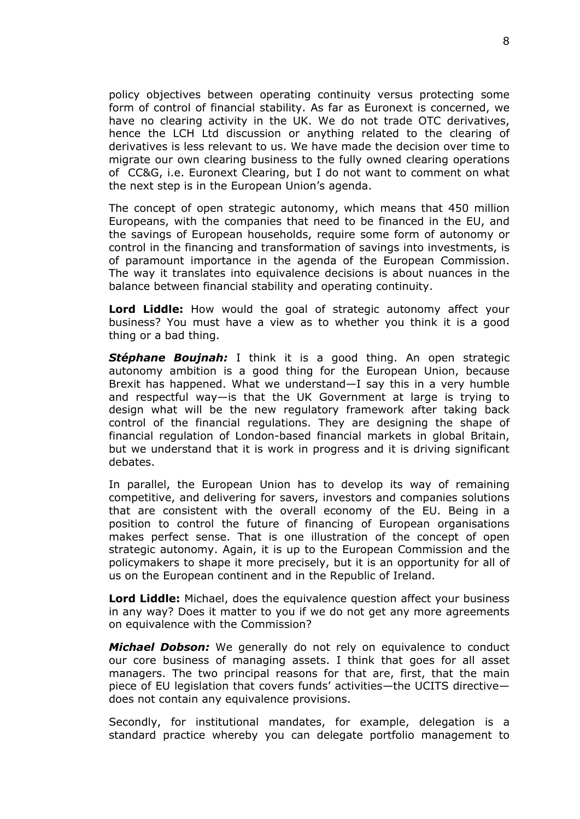policy objectives between operating continuity versus protecting some form of control of financial stability. As far as Euronext is concerned, we have no clearing activity in the UK. We do not trade OTC derivatives, hence the LCH Ltd discussion or anything related to the clearing of derivatives is less relevant to us. We have made the decision over time to migrate our own clearing business to the fully owned clearing operations of CC&G, i.e. Euronext Clearing, but I do not want to comment on what the next step is in the European Union's agenda.

The concept of open strategic autonomy, which means that 450 million Europeans, with the companies that need to be financed in the EU, and the savings of European households, require some form of autonomy or control in the financing and transformation of savings into investments, is of paramount importance in the agenda of the European Commission. The way it translates into equivalence decisions is about nuances in the balance between financial stability and operating continuity.

**Lord Liddle:** How would the goal of strategic autonomy affect your business? You must have a view as to whether you think it is a good thing or a bad thing.

*Stéphane Boujnah:* I think it is a good thing. An open strategic autonomy ambition is a good thing for the European Union, because Brexit has happened. What we understand—I say this in a very humble and respectful way—is that the UK Government at large is trying to design what will be the new regulatory framework after taking back control of the financial regulations. They are designing the shape of financial regulation of London-based financial markets in global Britain, but we understand that it is work in progress and it is driving significant debates.

In parallel, the European Union has to develop its way of remaining competitive, and delivering for savers, investors and companies solutions that are consistent with the overall economy of the EU. Being in a position to control the future of financing of European organisations makes perfect sense. That is one illustration of the concept of open strategic autonomy. Again, it is up to the European Commission and the policymakers to shape it more precisely, but it is an opportunity for all of us on the European continent and in the Republic of Ireland.

**Lord Liddle:** Michael, does the equivalence question affect your business in any way? Does it matter to you if we do not get any more agreements on equivalence with the Commission?

*Michael Dobson:* We generally do not rely on equivalence to conduct our core business of managing assets. I think that goes for all asset managers. The two principal reasons for that are, first, that the main piece of EU legislation that covers funds' activities—the UCITS directive does not contain any equivalence provisions.

Secondly, for institutional mandates, for example, delegation is a standard practice whereby you can delegate portfolio management to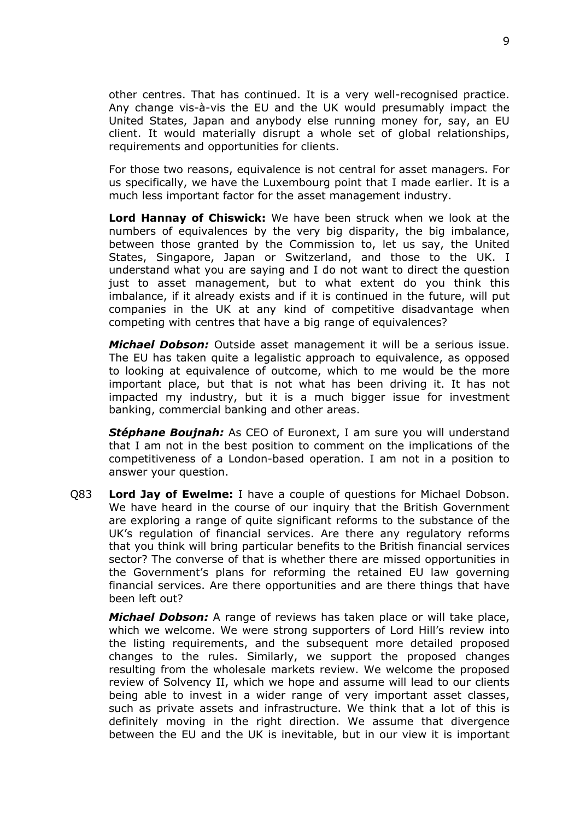other centres. That has continued. It is a very well-recognised practice. Any change vis-à-vis the EU and the UK would presumably impact the United States, Japan and anybody else running money for, say, an EU client. It would materially disrupt a whole set of global relationships, requirements and opportunities for clients.

For those two reasons, equivalence is not central for asset managers. For us specifically, we have the Luxembourg point that I made earlier. It is a much less important factor for the asset management industry.

**Lord Hannay of Chiswick:** We have been struck when we look at the numbers of equivalences by the very big disparity, the big imbalance, between those granted by the Commission to, let us say, the United States, Singapore, Japan or Switzerland, and those to the UK. I understand what you are saying and I do not want to direct the question just to asset management, but to what extent do you think this imbalance, if it already exists and if it is continued in the future, will put companies in the UK at any kind of competitive disadvantage when competing with centres that have a big range of equivalences?

*Michael Dobson:* Outside asset management it will be a serious issue. The EU has taken quite a legalistic approach to equivalence, as opposed to looking at equivalence of outcome, which to me would be the more important place, but that is not what has been driving it. It has not impacted my industry, but it is a much bigger issue for investment banking, commercial banking and other areas.

*Stéphane Boujnah:* As CEO of Euronext, I am sure you will understand that I am not in the best position to comment on the implications of the competitiveness of a London-based operation. I am not in a position to answer your question.

Q83 **Lord Jay of Ewelme:** I have a couple of questions for Michael Dobson. We have heard in the course of our inquiry that the British Government are exploring a range of quite significant reforms to the substance of the UK's regulation of financial services. Are there any regulatory reforms that you think will bring particular benefits to the British financial services sector? The converse of that is whether there are missed opportunities in the Government's plans for reforming the retained EU law governing financial services. Are there opportunities and are there things that have been left out?

*Michael Dobson:* A range of reviews has taken place or will take place, which we welcome. We were strong supporters of Lord Hill's review into the listing requirements, and the subsequent more detailed proposed changes to the rules. Similarly, we support the proposed changes resulting from the wholesale markets review. We welcome the proposed review of Solvency II, which we hope and assume will lead to our clients being able to invest in a wider range of very important asset classes, such as private assets and infrastructure. We think that a lot of this is definitely moving in the right direction. We assume that divergence between the EU and the UK is inevitable, but in our view it is important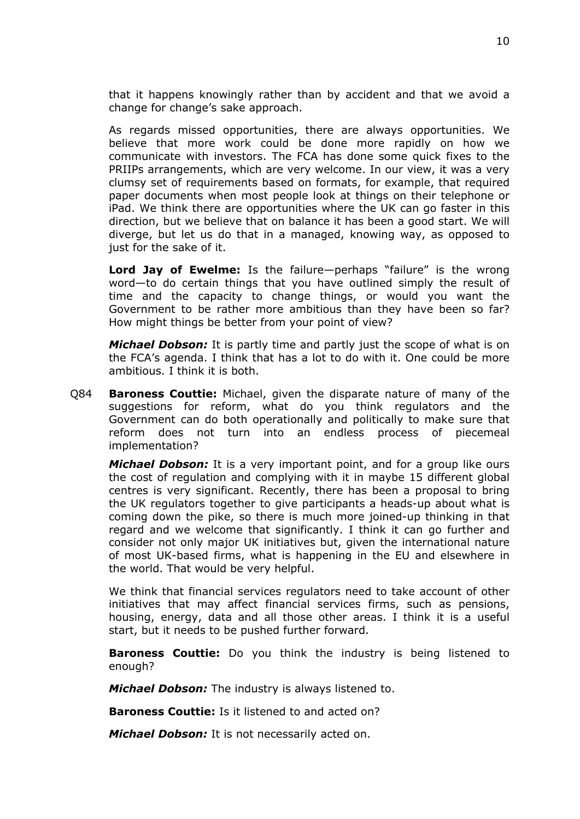that it happens knowingly rather than by accident and that we avoid a change for change's sake approach.

As regards missed opportunities, there are always opportunities. We believe that more work could be done more rapidly on how we communicate with investors. The FCA has done some quick fixes to the PRIIPs arrangements, which are very welcome. In our view, it was a very clumsy set of requirements based on formats, for example, that required paper documents when most people look at things on their telephone or iPad. We think there are opportunities where the UK can go faster in this direction, but we believe that on balance it has been a good start. We will diverge, but let us do that in a managed, knowing way, as opposed to just for the sake of it.

**Lord Jay of Ewelme:** Is the failure—perhaps "failure" is the wrong word—to do certain things that you have outlined simply the result of time and the capacity to change things, or would you want the Government to be rather more ambitious than they have been so far? How might things be better from your point of view?

*Michael Dobson:* It is partly time and partly just the scope of what is on the FCA's agenda. I think that has a lot to do with it. One could be more ambitious. I think it is both.

Q84 **Baroness Couttie:** Michael, given the disparate nature of many of the suggestions for reform, what do you think regulators and the Government can do both operationally and politically to make sure that reform does not turn into an endless process of piecemeal implementation?

*Michael Dobson:* It is a very important point, and for a group like ours the cost of regulation and complying with it in maybe 15 different global centres is very significant. Recently, there has been a proposal to bring the UK regulators together to give participants a heads-up about what is coming down the pike, so there is much more joined-up thinking in that regard and we welcome that significantly. I think it can go further and consider not only major UK initiatives but, given the international nature of most UK-based firms, what is happening in the EU and elsewhere in the world. That would be very helpful.

We think that financial services regulators need to take account of other initiatives that may affect financial services firms, such as pensions, housing, energy, data and all those other areas. I think it is a useful start, but it needs to be pushed further forward.

**Baroness Couttie:** Do you think the industry is being listened to enough?

*Michael Dobson:* The industry is always listened to.

**Baroness Couttie:** Is it listened to and acted on?

*Michael Dobson:* It is not necessarily acted on.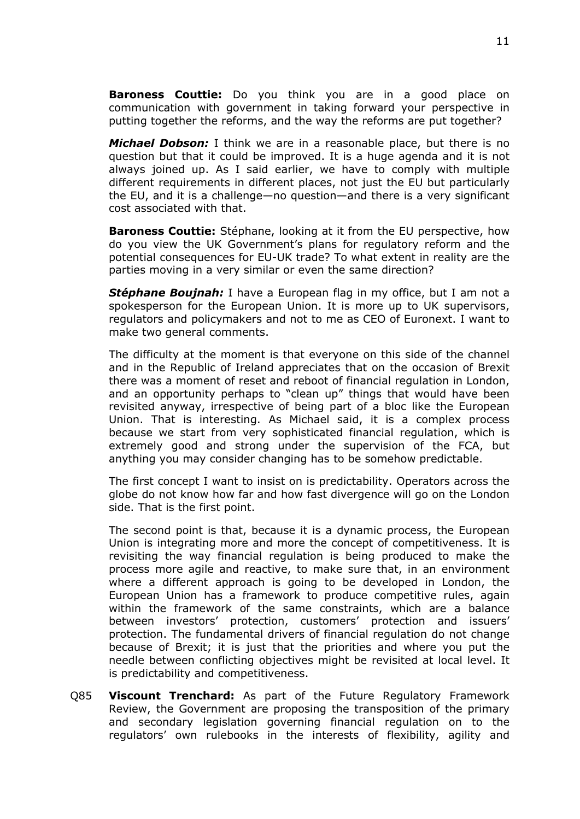**Baroness Couttie:** Do you think you are in a good place on communication with government in taking forward your perspective in putting together the reforms, and the way the reforms are put together?

*Michael Dobson:* I think we are in a reasonable place, but there is no question but that it could be improved. It is a huge agenda and it is not always joined up. As I said earlier, we have to comply with multiple different requirements in different places, not just the EU but particularly the EU, and it is a challenge—no question—and there is a very significant cost associated with that.

**Baroness Couttie:** Stéphane, looking at it from the EU perspective, how do you view the UK Government's plans for regulatory reform and the potential consequences for EU-UK trade? To what extent in reality are the parties moving in a very similar or even the same direction?

*Stéphane Boujnah:* I have a European flag in my office, but I am not a spokesperson for the European Union. It is more up to UK supervisors, regulators and policymakers and not to me as CEO of Euronext. I want to make two general comments.

The difficulty at the moment is that everyone on this side of the channel and in the Republic of Ireland appreciates that on the occasion of Brexit there was a moment of reset and reboot of financial regulation in London, and an opportunity perhaps to "clean up" things that would have been revisited anyway, irrespective of being part of a bloc like the European Union. That is interesting. As Michael said, it is a complex process because we start from very sophisticated financial regulation, which is extremely good and strong under the supervision of the FCA, but anything you may consider changing has to be somehow predictable.

The first concept I want to insist on is predictability. Operators across the globe do not know how far and how fast divergence will go on the London side. That is the first point.

The second point is that, because it is a dynamic process, the European Union is integrating more and more the concept of competitiveness. It is revisiting the way financial regulation is being produced to make the process more agile and reactive, to make sure that, in an environment where a different approach is going to be developed in London, the European Union has a framework to produce competitive rules, again within the framework of the same constraints, which are a balance between investors' protection, customers' protection and issuers' protection. The fundamental drivers of financial regulation do not change because of Brexit; it is just that the priorities and where you put the needle between conflicting objectives might be revisited at local level. It is predictability and competitiveness.

Q85 **Viscount Trenchard:** As part of the Future Regulatory Framework Review, the Government are proposing the transposition of the primary and secondary legislation governing financial regulation on to the regulators' own rulebooks in the interests of flexibility, agility and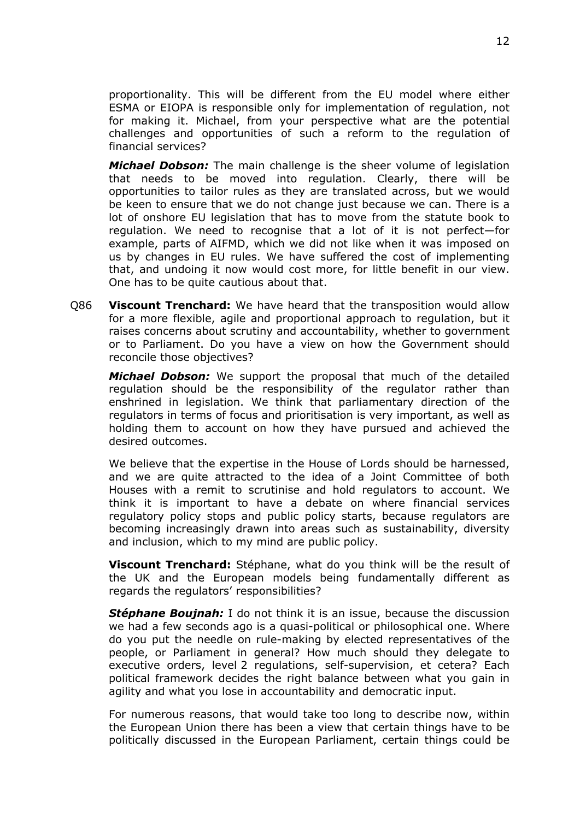proportionality. This will be different from the EU model where either ESMA or EIOPA is responsible only for implementation of regulation, not for making it. Michael, from your perspective what are the potential challenges and opportunities of such a reform to the regulation of financial services?

*Michael Dobson:* The main challenge is the sheer volume of legislation that needs to be moved into regulation. Clearly, there will be opportunities to tailor rules as they are translated across, but we would be keen to ensure that we do not change just because we can. There is a lot of onshore EU legislation that has to move from the statute book to regulation. We need to recognise that a lot of it is not perfect—for example, parts of AIFMD, which we did not like when it was imposed on us by changes in EU rules. We have suffered the cost of implementing that, and undoing it now would cost more, for little benefit in our view. One has to be quite cautious about that.

Q86 **Viscount Trenchard:** We have heard that the transposition would allow for a more flexible, agile and proportional approach to regulation, but it raises concerns about scrutiny and accountability, whether to government or to Parliament. Do you have a view on how the Government should reconcile those objectives?

*Michael Dobson:* We support the proposal that much of the detailed regulation should be the responsibility of the regulator rather than enshrined in legislation. We think that parliamentary direction of the regulators in terms of focus and prioritisation is very important, as well as holding them to account on how they have pursued and achieved the desired outcomes.

We believe that the expertise in the House of Lords should be harnessed. and we are quite attracted to the idea of a Joint Committee of both Houses with a remit to scrutinise and hold regulators to account. We think it is important to have a debate on where financial services regulatory policy stops and public policy starts, because regulators are becoming increasingly drawn into areas such as sustainability, diversity and inclusion, which to my mind are public policy.

**Viscount Trenchard:** Stéphane, what do you think will be the result of the UK and the European models being fundamentally different as regards the regulators' responsibilities?

*Stéphane Boujnah:* I do not think it is an issue, because the discussion we had a few seconds ago is a quasi-political or philosophical one. Where do you put the needle on rule-making by elected representatives of the people, or Parliament in general? How much should they delegate to executive orders, level 2 regulations, self-supervision, et cetera? Each political framework decides the right balance between what you gain in agility and what you lose in accountability and democratic input.

For numerous reasons, that would take too long to describe now, within the European Union there has been a view that certain things have to be politically discussed in the European Parliament, certain things could be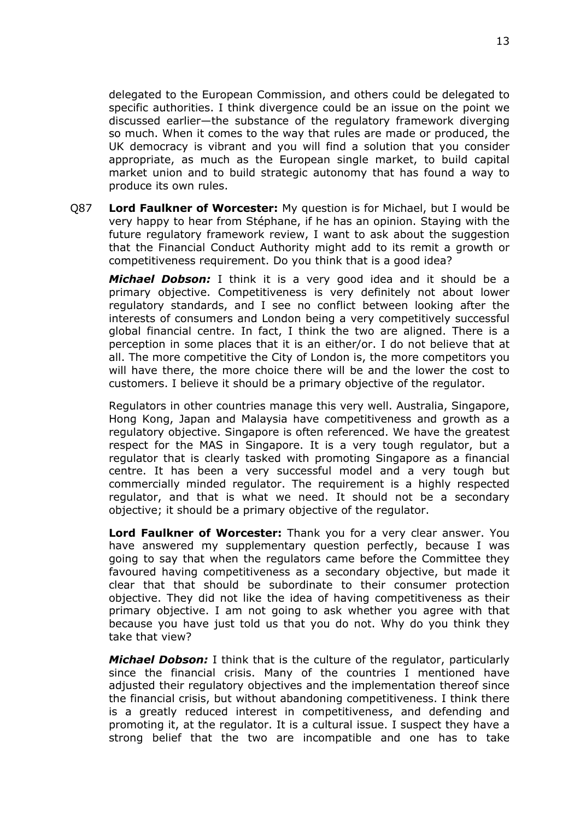delegated to the European Commission, and others could be delegated to specific authorities. I think divergence could be an issue on the point we discussed earlier—the substance of the regulatory framework diverging so much. When it comes to the way that rules are made or produced, the UK democracy is vibrant and you will find a solution that you consider appropriate, as much as the European single market, to build capital market union and to build strategic autonomy that has found a way to produce its own rules.

Q87 **Lord Faulkner of Worcester:** My question is for Michael, but I would be very happy to hear from Stéphane, if he has an opinion. Staying with the future regulatory framework review, I want to ask about the suggestion that the Financial Conduct Authority might add to its remit a growth or competitiveness requirement. Do you think that is a good idea?

*Michael Dobson:* I think it is a very good idea and it should be a primary objective. Competitiveness is very definitely not about lower regulatory standards, and I see no conflict between looking after the interests of consumers and London being a very competitively successful global financial centre. In fact, I think the two are aligned. There is a perception in some places that it is an either/or. I do not believe that at all. The more competitive the City of London is, the more competitors you will have there, the more choice there will be and the lower the cost to customers. I believe it should be a primary objective of the regulator.

Regulators in other countries manage this very well. Australia, Singapore, Hong Kong, Japan and Malaysia have competitiveness and growth as a regulatory objective. Singapore is often referenced. We have the greatest respect for the MAS in Singapore. It is a very tough regulator, but a regulator that is clearly tasked with promoting Singapore as a financial centre. It has been a very successful model and a very tough but commercially minded regulator. The requirement is a highly respected regulator, and that is what we need. It should not be a secondary objective; it should be a primary objective of the regulator.

**Lord Faulkner of Worcester:** Thank you for a very clear answer. You have answered my supplementary question perfectly, because I was going to say that when the regulators came before the Committee they favoured having competitiveness as a secondary objective, but made it clear that that should be subordinate to their consumer protection objective. They did not like the idea of having competitiveness as their primary objective. I am not going to ask whether you agree with that because you have just told us that you do not. Why do you think they take that view?

*Michael Dobson:* I think that is the culture of the regulator, particularly since the financial crisis. Many of the countries I mentioned have adjusted their regulatory objectives and the implementation thereof since the financial crisis, but without abandoning competitiveness. I think there is a greatly reduced interest in competitiveness, and defending and promoting it, at the regulator. It is a cultural issue. I suspect they have a strong belief that the two are incompatible and one has to take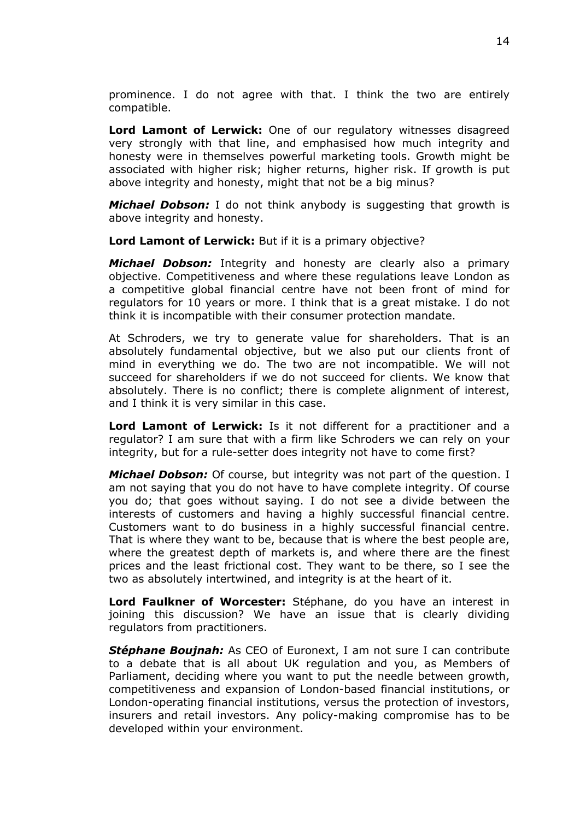prominence. I do not agree with that. I think the two are entirely compatible.

**Lord Lamont of Lerwick:** One of our regulatory witnesses disagreed very strongly with that line, and emphasised how much integrity and honesty were in themselves powerful marketing tools. Growth might be associated with higher risk; higher returns, higher risk. If growth is put above integrity and honesty, might that not be a big minus?

*Michael Dobson:* I do not think anybody is suggesting that growth is above integrity and honesty.

**Lord Lamont of Lerwick:** But if it is a primary objective?

*Michael Dobson:* Integrity and honesty are clearly also a primary objective. Competitiveness and where these regulations leave London as a competitive global financial centre have not been front of mind for regulators for 10 years or more. I think that is a great mistake. I do not think it is incompatible with their consumer protection mandate.

At Schroders, we try to generate value for shareholders. That is an absolutely fundamental objective, but we also put our clients front of mind in everything we do. The two are not incompatible. We will not succeed for shareholders if we do not succeed for clients. We know that absolutely. There is no conflict; there is complete alignment of interest, and I think it is very similar in this case.

**Lord Lamont of Lerwick:** Is it not different for a practitioner and a regulator? I am sure that with a firm like Schroders we can rely on your integrity, but for a rule-setter does integrity not have to come first?

*Michael Dobson:* Of course, but integrity was not part of the question. I am not saying that you do not have to have complete integrity. Of course you do; that goes without saying. I do not see a divide between the interests of customers and having a highly successful financial centre. Customers want to do business in a highly successful financial centre. That is where they want to be, because that is where the best people are, where the greatest depth of markets is, and where there are the finest prices and the least frictional cost. They want to be there, so I see the two as absolutely intertwined, and integrity is at the heart of it.

**Lord Faulkner of Worcester:** Stéphane, do you have an interest in joining this discussion? We have an issue that is clearly dividing regulators from practitioners.

*Stéphane Boujnah:* As CEO of Euronext, I am not sure I can contribute to a debate that is all about UK regulation and you, as Members of Parliament, deciding where you want to put the needle between growth, competitiveness and expansion of London-based financial institutions, or London-operating financial institutions, versus the protection of investors, insurers and retail investors. Any policy-making compromise has to be developed within your environment.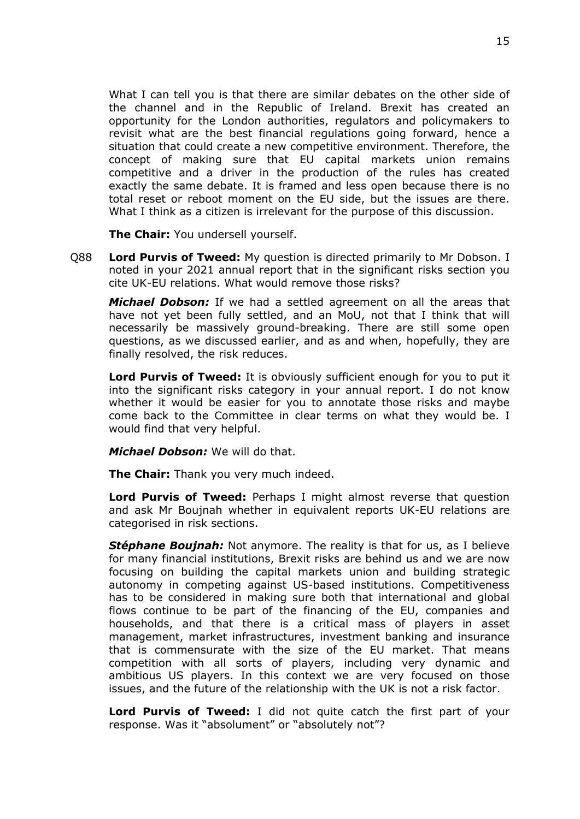What I can tell you is that there are similar debates on the other side of the channel and in the Republic of Ireland. Brexit has created an opportunity for the London authorities, regulators and policymakers to revisit what are the best financial regulations going forward, hence a situation that could create a new competitive environment. Therefore, the concept of making sure that EU capital markets union remains competitive and a driver in the production of the rules has created exactly the same debate. It is framed and less open because there is no total reset or reboot moment on the EU side, but the issues are there. What I think as a citizen is irrelevant for the purpose of this discussion.

**The Chair:** You undersell yourself.

Q88 **Lord Purvis of Tweed:** My question is directed primarily to Mr Dobson. I noted in your 2021 annual report that in the significant risks section you cite UK-EU relations. What would remove those risks?

*Michael Dobson:* If we had a settled agreement on all the areas that have not yet been fully settled, and an MoU, not that I think that will necessarily be massively ground-breaking. There are still some open questions, as we discussed earlier, and as and when, hopefully, they are finally resolved, the risk reduces.

**Lord Purvis of Tweed:** It is obviously sufficient enough for you to put it into the significant risks category in your annual report. I do not know whether it would be easier for you to annotate those risks and maybe come back to the Committee in clear terms on what they would be. I would find that very helpful.

*Michael Dobson:* We will do that.

**The Chair:** Thank you very much indeed.

**Lord Purvis of Tweed:** Perhaps I might almost reverse that question and ask Mr Boujnah whether in equivalent reports UK-EU relations are categorised in risk sections.

*Stéphane Boujnah:* Not anymore. The reality is that for us, as I believe for many financial institutions, Brexit risks are behind us and we are now focusing on building the capital markets union and building strategic autonomy in competing against US-based institutions. Competitiveness has to be considered in making sure both that international and global flows continue to be part of the financing of the EU, companies and households, and that there is a critical mass of players in asset management, market infrastructures, investment banking and insurance that is commensurate with the size of the EU market. That means competition with all sorts of players, including very dynamic and ambitious US players. In this context we are very focused on those issues, and the future of the relationship with the UK is not a risk factor.

**Lord Purvis of Tweed:** I did not quite catch the first part of your response. Was it "absolument" or "absolutely not"?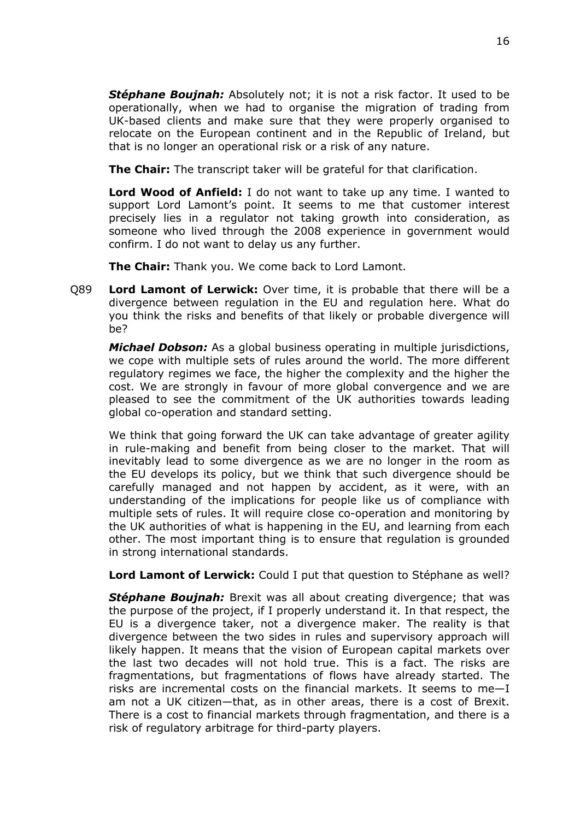*Stéphane Boujnah:* Absolutely not; it is not a risk factor. It used to be operationally, when we had to organise the migration of trading from UK-based clients and make sure that they were properly organised to relocate on the European continent and in the Republic of Ireland, but that is no longer an operational risk or a risk of any nature.

**The Chair:** The transcript taker will be grateful for that clarification.

**Lord Wood of Anfield:** I do not want to take up any time. I wanted to support Lord Lamont's point. It seems to me that customer interest precisely lies in a regulator not taking growth into consideration, as someone who lived through the 2008 experience in government would confirm. I do not want to delay us any further.

**The Chair:** Thank you. We come back to Lord Lamont.

Q89 **Lord Lamont of Lerwick:** Over time, it is probable that there will be a divergence between regulation in the EU and regulation here. What do you think the risks and benefits of that likely or probable divergence will be?

*Michael Dobson:* As a global business operating in multiple jurisdictions, we cope with multiple sets of rules around the world. The more different regulatory regimes we face, the higher the complexity and the higher the cost. We are strongly in favour of more global convergence and we are pleased to see the commitment of the UK authorities towards leading global co-operation and standard setting.

We think that going forward the UK can take advantage of greater agility in rule-making and benefit from being closer to the market. That will inevitably lead to some divergence as we are no longer in the room as the EU develops its policy, but we think that such divergence should be carefully managed and not happen by accident, as it were, with an understanding of the implications for people like us of compliance with multiple sets of rules. It will require close co-operation and monitoring by the UK authorities of what is happening in the EU, and learning from each other. The most important thing is to ensure that regulation is grounded in strong international standards.

**Lord Lamont of Lerwick:** Could I put that question to Stéphane as well?

*Stéphane Boujnah:* Brexit was all about creating divergence; that was the purpose of the project, if I properly understand it. In that respect, the EU is a divergence taker, not a divergence maker. The reality is that divergence between the two sides in rules and supervisory approach will likely happen. It means that the vision of European capital markets over the last two decades will not hold true. This is a fact. The risks are fragmentations, but fragmentations of flows have already started. The risks are incremental costs on the financial markets. It seems to me—I am not a UK citizen—that, as in other areas, there is a cost of Brexit. There is a cost to financial markets through fragmentation, and there is a risk of regulatory arbitrage for third-party players.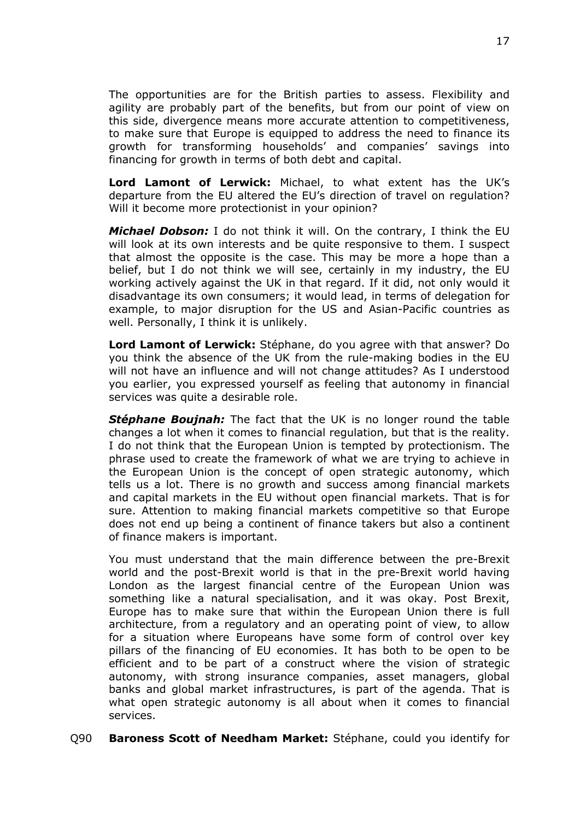The opportunities are for the British parties to assess. Flexibility and agility are probably part of the benefits, but from our point of view on this side, divergence means more accurate attention to competitiveness, to make sure that Europe is equipped to address the need to finance its growth for transforming households' and companies' savings into financing for growth in terms of both debt and capital.

**Lord Lamont of Lerwick:** Michael, to what extent has the UK's departure from the EU altered the EU's direction of travel on regulation? Will it become more protectionist in your opinion?

*Michael Dobson:* I do not think it will. On the contrary, I think the EU will look at its own interests and be quite responsive to them. I suspect that almost the opposite is the case. This may be more a hope than a belief, but I do not think we will see, certainly in my industry, the EU working actively against the UK in that regard. If it did, not only would it disadvantage its own consumers; it would lead, in terms of delegation for example, to major disruption for the US and Asian-Pacific countries as well. Personally, I think it is unlikely.

**Lord Lamont of Lerwick:** Stéphane, do you agree with that answer? Do you think the absence of the UK from the rule-making bodies in the EU will not have an influence and will not change attitudes? As I understood you earlier, you expressed yourself as feeling that autonomy in financial services was quite a desirable role.

*Stéphane Boujnah:* The fact that the UK is no longer round the table changes a lot when it comes to financial regulation, but that is the reality. I do not think that the European Union is tempted by protectionism. The phrase used to create the framework of what we are trying to achieve in the European Union is the concept of open strategic autonomy, which tells us a lot. There is no growth and success among financial markets and capital markets in the EU without open financial markets. That is for sure. Attention to making financial markets competitive so that Europe does not end up being a continent of finance takers but also a continent of finance makers is important.

You must understand that the main difference between the pre-Brexit world and the post-Brexit world is that in the pre-Brexit world having London as the largest financial centre of the European Union was something like a natural specialisation, and it was okay. Post Brexit, Europe has to make sure that within the European Union there is full architecture, from a regulatory and an operating point of view, to allow for a situation where Europeans have some form of control over key pillars of the financing of EU economies. It has both to be open to be efficient and to be part of a construct where the vision of strategic autonomy, with strong insurance companies, asset managers, global banks and global market infrastructures, is part of the agenda. That is what open strategic autonomy is all about when it comes to financial services.

### Q90 **Baroness Scott of Needham Market:** Stéphane, could you identify for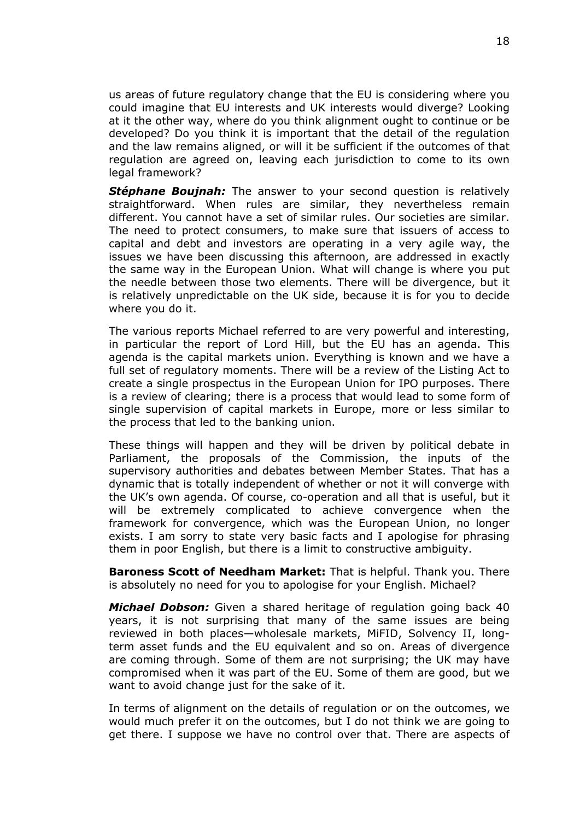us areas of future regulatory change that the EU is considering where you could imagine that EU interests and UK interests would diverge? Looking at it the other way, where do you think alignment ought to continue or be developed? Do you think it is important that the detail of the regulation and the law remains aligned, or will it be sufficient if the outcomes of that regulation are agreed on, leaving each jurisdiction to come to its own legal framework?

**Stéphane Boujnah:** The answer to your second question is relatively straightforward. When rules are similar, they nevertheless remain different. You cannot have a set of similar rules. Our societies are similar. The need to protect consumers, to make sure that issuers of access to capital and debt and investors are operating in a very agile way, the issues we have been discussing this afternoon, are addressed in exactly the same way in the European Union. What will change is where you put the needle between those two elements. There will be divergence, but it is relatively unpredictable on the UK side, because it is for you to decide where you do it.

The various reports Michael referred to are very powerful and interesting, in particular the report of Lord Hill, but the EU has an agenda. This agenda is the capital markets union. Everything is known and we have a full set of regulatory moments. There will be a review of the Listing Act to create a single prospectus in the European Union for IPO purposes. There is a review of clearing; there is a process that would lead to some form of single supervision of capital markets in Europe, more or less similar to the process that led to the banking union.

These things will happen and they will be driven by political debate in Parliament, the proposals of the Commission, the inputs of the supervisory authorities and debates between Member States. That has a dynamic that is totally independent of whether or not it will converge with the UK's own agenda. Of course, co-operation and all that is useful, but it will be extremely complicated to achieve convergence when the framework for convergence, which was the European Union, no longer exists. I am sorry to state very basic facts and I apologise for phrasing them in poor English, but there is a limit to constructive ambiguity.

**Baroness Scott of Needham Market:** That is helpful. Thank you. There is absolutely no need for you to apologise for your English. Michael?

*Michael Dobson:* Given a shared heritage of regulation going back 40 years, it is not surprising that many of the same issues are being reviewed in both places—wholesale markets, MiFID, Solvency II, longterm asset funds and the EU equivalent and so on. Areas of divergence are coming through. Some of them are not surprising; the UK may have compromised when it was part of the EU. Some of them are good, but we want to avoid change just for the sake of it.

In terms of alignment on the details of regulation or on the outcomes, we would much prefer it on the outcomes, but I do not think we are going to get there. I suppose we have no control over that. There are aspects of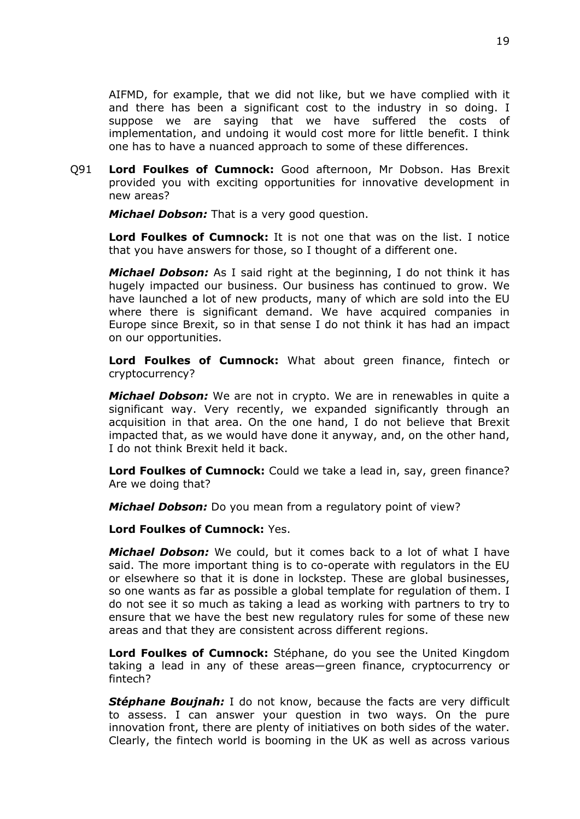AIFMD, for example, that we did not like, but we have complied with it and there has been a significant cost to the industry in so doing. I suppose we are saying that we have suffered the costs of implementation, and undoing it would cost more for little benefit. I think one has to have a nuanced approach to some of these differences.

Q91 **Lord Foulkes of Cumnock:** Good afternoon, Mr Dobson. Has Brexit provided you with exciting opportunities for innovative development in new areas?

*Michael Dobson:* That is a very good question.

**Lord Foulkes of Cumnock:** It is not one that was on the list. I notice that you have answers for those, so I thought of a different one.

*Michael Dobson:* As I said right at the beginning, I do not think it has hugely impacted our business. Our business has continued to grow. We have launched a lot of new products, many of which are sold into the EU where there is significant demand. We have acquired companies in Europe since Brexit, so in that sense I do not think it has had an impact on our opportunities.

**Lord Foulkes of Cumnock:** What about green finance, fintech or cryptocurrency?

*Michael Dobson:* We are not in crypto. We are in renewables in quite a significant way. Very recently, we expanded significantly through an acquisition in that area. On the one hand, I do not believe that Brexit impacted that, as we would have done it anyway, and, on the other hand, I do not think Brexit held it back.

**Lord Foulkes of Cumnock:** Could we take a lead in, say, green finance? Are we doing that?

*Michael Dobson:* Do you mean from a regulatory point of view?

**Lord Foulkes of Cumnock:** Yes.

*Michael Dobson:* We could, but it comes back to a lot of what I have said. The more important thing is to co-operate with regulators in the EU or elsewhere so that it is done in lockstep. These are global businesses, so one wants as far as possible a global template for regulation of them. I do not see it so much as taking a lead as working with partners to try to ensure that we have the best new regulatory rules for some of these new areas and that they are consistent across different regions.

**Lord Foulkes of Cumnock:** Stéphane, do you see the United Kingdom taking a lead in any of these areas—green finance, cryptocurrency or fintech?

*Stéphane Boujnah:* I do not know, because the facts are very difficult to assess. I can answer your question in two ways. On the pure innovation front, there are plenty of initiatives on both sides of the water. Clearly, the fintech world is booming in the UK as well as across various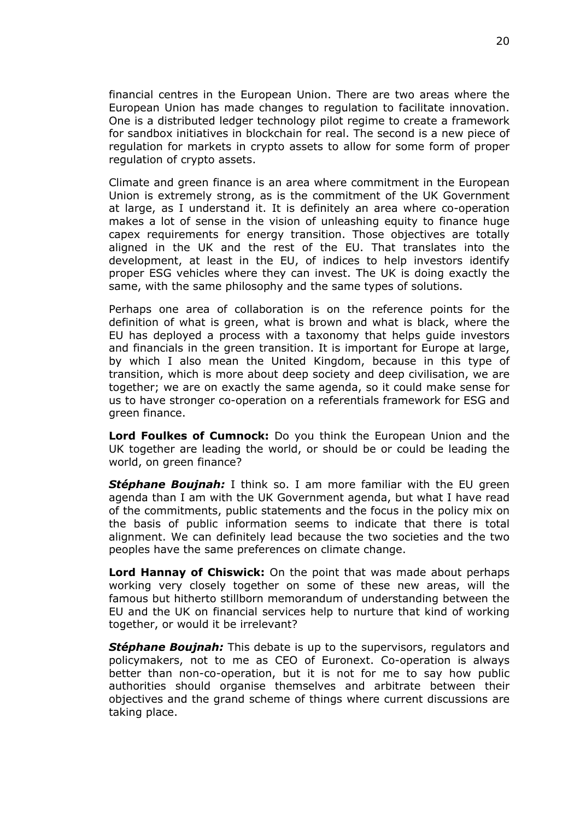financial centres in the European Union. There are two areas where the European Union has made changes to regulation to facilitate innovation. One is a distributed ledger technology pilot regime to create a framework for sandbox initiatives in blockchain for real. The second is a new piece of regulation for markets in crypto assets to allow for some form of proper regulation of crypto assets.

Climate and green finance is an area where commitment in the European Union is extremely strong, as is the commitment of the UK Government at large, as I understand it. It is definitely an area where co-operation makes a lot of sense in the vision of unleashing equity to finance huge capex requirements for energy transition. Those objectives are totally aligned in the UK and the rest of the EU. That translates into the development, at least in the EU, of indices to help investors identify proper ESG vehicles where they can invest. The UK is doing exactly the same, with the same philosophy and the same types of solutions.

Perhaps one area of collaboration is on the reference points for the definition of what is green, what is brown and what is black, where the EU has deployed a process with a taxonomy that helps guide investors and financials in the green transition. It is important for Europe at large, by which I also mean the United Kingdom, because in this type of transition, which is more about deep society and deep civilisation, we are together; we are on exactly the same agenda, so it could make sense for us to have stronger co-operation on a referentials framework for ESG and green finance.

**Lord Foulkes of Cumnock:** Do you think the European Union and the UK together are leading the world, or should be or could be leading the world, on green finance?

*Stéphane Boujnah:* I think so. I am more familiar with the EU green agenda than I am with the UK Government agenda, but what I have read of the commitments, public statements and the focus in the policy mix on the basis of public information seems to indicate that there is total alignment. We can definitely lead because the two societies and the two peoples have the same preferences on climate change.

**Lord Hannay of Chiswick:** On the point that was made about perhaps working very closely together on some of these new areas, will the famous but hitherto stillborn memorandum of understanding between the EU and the UK on financial services help to nurture that kind of working together, or would it be irrelevant?

*Stéphane Boujnah:* This debate is up to the supervisors, regulators and policymakers, not to me as CEO of Euronext. Co-operation is always better than non-co-operation, but it is not for me to say how public authorities should organise themselves and arbitrate between their objectives and the grand scheme of things where current discussions are taking place.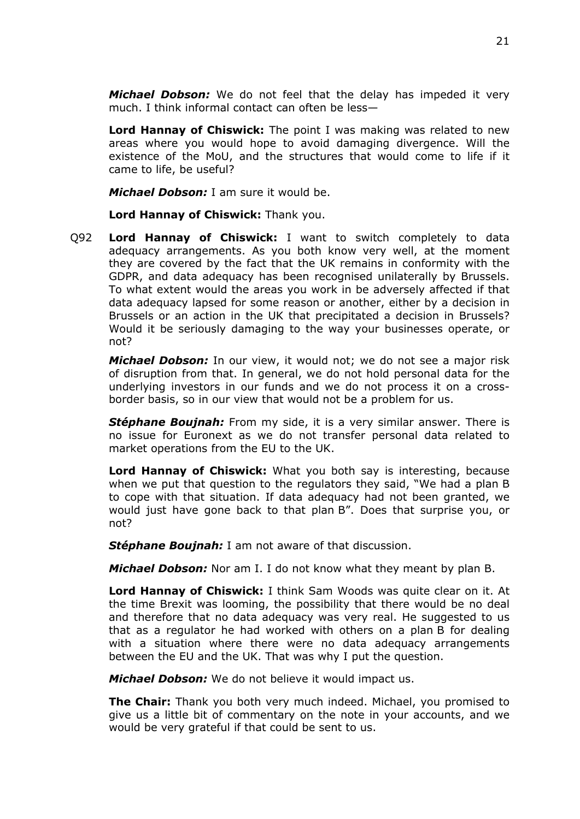*Michael Dobson:* We do not feel that the delay has impeded it very much. I think informal contact can often be less—

**Lord Hannay of Chiswick:** The point I was making was related to new areas where you would hope to avoid damaging divergence. Will the existence of the MoU, and the structures that would come to life if it came to life, be useful?

*Michael Dobson:* I am sure it would be.

**Lord Hannay of Chiswick:** Thank you.

Q92 **Lord Hannay of Chiswick:** I want to switch completely to data adequacy arrangements. As you both know very well, at the moment they are covered by the fact that the UK remains in conformity with the GDPR, and data adequacy has been recognised unilaterally by Brussels. To what extent would the areas you work in be adversely affected if that data adequacy lapsed for some reason or another, either by a decision in Brussels or an action in the UK that precipitated a decision in Brussels? Would it be seriously damaging to the way your businesses operate, or not?

*Michael Dobson:* In our view, it would not; we do not see a major risk of disruption from that. In general, we do not hold personal data for the underlying investors in our funds and we do not process it on a crossborder basis, so in our view that would not be a problem for us.

*Stéphane Boujnah:* From my side, it is a very similar answer. There is no issue for Euronext as we do not transfer personal data related to market operations from the EU to the UK.

**Lord Hannay of Chiswick:** What you both say is interesting, because when we put that question to the regulators they said, "We had a plan B to cope with that situation. If data adequacy had not been granted, we would just have gone back to that plan B". Does that surprise you, or not?

*Stéphane Boujnah:* I am not aware of that discussion.

*Michael Dobson:* Nor am I. I do not know what they meant by plan B.

**Lord Hannay of Chiswick:** I think Sam Woods was quite clear on it. At the time Brexit was looming, the possibility that there would be no deal and therefore that no data adequacy was very real. He suggested to us that as a regulator he had worked with others on a plan B for dealing with a situation where there were no data adequacy arrangements between the EU and the UK. That was why I put the question.

*Michael Dobson:* We do not believe it would impact us.

**The Chair:** Thank you both very much indeed. Michael, you promised to give us a little bit of commentary on the note in your accounts, and we would be very grateful if that could be sent to us.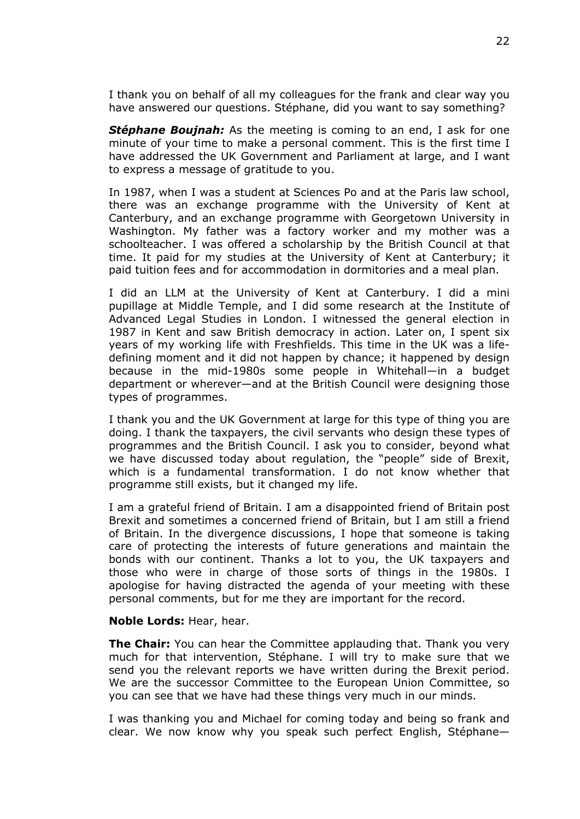I thank you on behalf of all my colleagues for the frank and clear way you have answered our questions. Stéphane, did you want to say something?

*Stéphane Boujnah:* As the meeting is coming to an end, I ask for one minute of your time to make a personal comment. This is the first time I have addressed the UK Government and Parliament at large, and I want to express a message of gratitude to you.

In 1987, when I was a student at Sciences Po and at the Paris law school, there was an exchange programme with the University of Kent at Canterbury, and an exchange programme with Georgetown University in Washington. My father was a factory worker and my mother was a schoolteacher. I was offered a scholarship by the British Council at that time. It paid for my studies at the University of Kent at Canterbury; it paid tuition fees and for accommodation in dormitories and a meal plan.

I did an LLM at the University of Kent at Canterbury. I did a mini pupillage at Middle Temple, and I did some research at the Institute of Advanced Legal Studies in London. I witnessed the general election in 1987 in Kent and saw British democracy in action. Later on, I spent six years of my working life with Freshfields. This time in the UK was a lifedefining moment and it did not happen by chance; it happened by design because in the mid-1980s some people in Whitehall—in a budget department or wherever—and at the British Council were designing those types of programmes.

I thank you and the UK Government at large for this type of thing you are doing. I thank the taxpayers, the civil servants who design these types of programmes and the British Council. I ask you to consider, beyond what we have discussed today about regulation, the "people" side of Brexit, which is a fundamental transformation. I do not know whether that programme still exists, but it changed my life.

I am a grateful friend of Britain. I am a disappointed friend of Britain post Brexit and sometimes a concerned friend of Britain, but I am still a friend of Britain. In the divergence discussions, I hope that someone is taking care of protecting the interests of future generations and maintain the bonds with our continent. Thanks a lot to you, the UK taxpayers and those who were in charge of those sorts of things in the 1980s. I apologise for having distracted the agenda of your meeting with these personal comments, but for me they are important for the record.

### **Noble Lords:** Hear, hear.

**The Chair:** You can hear the Committee applauding that. Thank you very much for that intervention, Stéphane. I will try to make sure that we send you the relevant reports we have written during the Brexit period. We are the successor Committee to the European Union Committee, so you can see that we have had these things very much in our minds.

I was thanking you and Michael for coming today and being so frank and clear. We now know why you speak such perfect English, Stéphane—